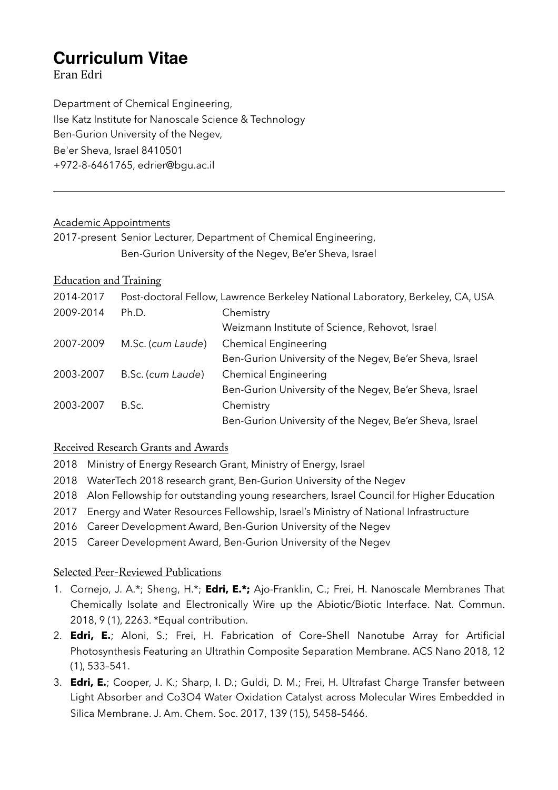# **Curriculum Vitae**

Eran Edri 

Department of Chemical Engineering, Ilse Katz Institute for Nanoscale Science & Technology Ben-Gurion University of the Negev, Be'er Sheva, Israel 8410501 +972-8-6461765, edrier@bgu.ac.il

### Academic Appointments

2017-present Senior Lecturer, Department of Chemical Engineering, Ben-Gurion University of the Negev, Be'er Sheva, Israel

## Education and Training

| 2014-2017 |                   | Post-doctoral Fellow, Lawrence Berkeley National Laboratory, Berkeley, CA, USA |
|-----------|-------------------|--------------------------------------------------------------------------------|
| 2009-2014 | Ph.D.             | Chemistry                                                                      |
|           |                   | Weizmann Institute of Science, Rehovot, Israel                                 |
| 2007-2009 | M.Sc. (cum Laude) | <b>Chemical Engineering</b>                                                    |
|           |                   | Ben-Gurion University of the Negev, Be'er Sheva, Israel                        |
| 2003-2007 | B.Sc. (cum Laude) | Chemical Engineering                                                           |
|           |                   | Ben-Gurion University of the Negev, Be'er Sheva, Israel                        |
| 2003-2007 | B.Sc.             | Chemistry                                                                      |
|           |                   | Ben-Gurion University of the Negev, Be'er Sheva, Israel                        |

## Received Research Grants and Awards

- 2018 Ministry of Energy Research Grant, Ministry of Energy, Israel
- 2018 WaterTech 2018 research grant, Ben-Gurion University of the Negev
- 2018 Alon Fellowship for outstanding young researchers, Israel Council for Higher Education
- 2017 Energy and Water Resources Fellowship, Israel's Ministry of National Infrastructure
- 2016 Career Development Award, Ben-Gurion University of the Negev
- 2015 Career Development Award, Ben-Gurion University of the Negev

## Selected Peer-Reviewed Publications

- 1. Cornejo, J. A.\*; Sheng, H.\*; **Edri, E.\*;** Ajo-Franklin, C.; Frei, H. Nanoscale Membranes That Chemically Isolate and Electronically Wire up the Abiotic/Biotic Interface. Nat. Commun. 2018, 9 (1), 2263. \*Equal contribution.
- 2. **Edri, E.**; Aloni, S.; Frei, H. Fabrication of Core–Shell Nanotube Array for Artificial Photosynthesis Featuring an Ultrathin Composite Separation Membrane. ACS Nano 2018, 12 (1), 533–541.
- 3. **Edri, E.**; Cooper, J. K.; Sharp, I. D.; Guldi, D. M.; Frei, H. Ultrafast Charge Transfer between Light Absorber and Co3O4 Water Oxidation Catalyst across Molecular Wires Embedded in Silica Membrane. J. Am. Chem. Soc. 2017, 139 (15), 5458–5466.